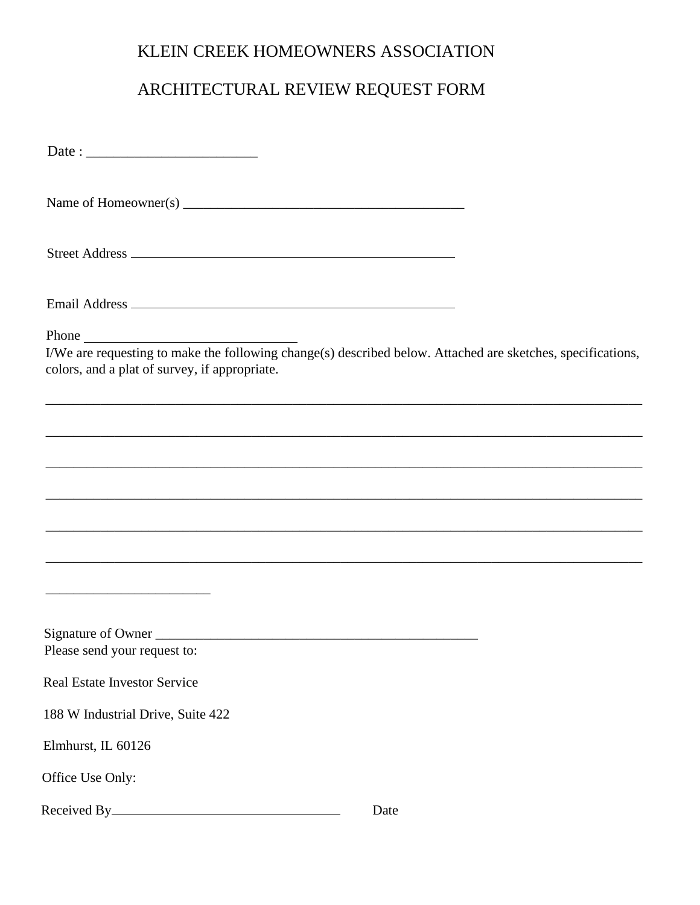## KLEIN CREEK HOMEOWNERS ASSOCIATION

## ARCHITECTURAL REVIEW REQUEST FORM

| Phone<br>colors, and a plat of survey, if appropriate. | I/We are requesting to make the following change(s) described below. Attached are sketches, specifications, |
|--------------------------------------------------------|-------------------------------------------------------------------------------------------------------------|
|                                                        | ,我们也不能在这里的时候,我们也不能在这里的时候,我们也不能不能不能不能不能不能不能不能不能不能不能不能不能不能不能。""我们不能不能不能不能不能不能不能不能不能                           |
|                                                        |                                                                                                             |
|                                                        |                                                                                                             |
|                                                        | ,我们也不能在这里的时候,我们也不能在这里的时候,我们也不能在这里的时候,我们也不能会在这里的时候,我们也不能会在这里的时候,我们也不能会在这里的时候,我们也不能                           |
|                                                        |                                                                                                             |
|                                                        |                                                                                                             |
| Signature of Owner<br>Please send your request to:     |                                                                                                             |
| <b>Real Estate Investor Service</b>                    |                                                                                                             |
| 188 W Industrial Drive, Suite 422                      |                                                                                                             |
| Elmhurst, IL 60126                                     |                                                                                                             |
| Office Use Only:                                       |                                                                                                             |
|                                                        | Date                                                                                                        |